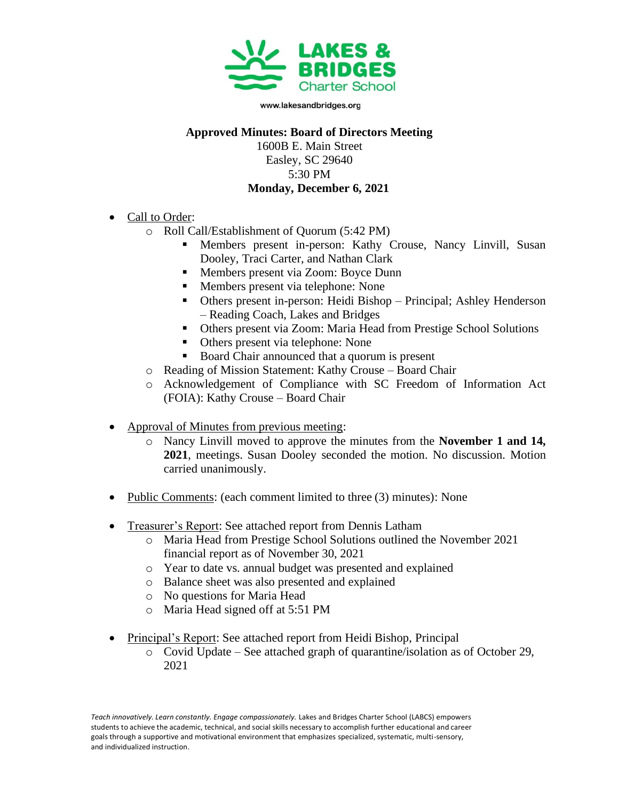

www.lakesandbridges.org

## **Approved Minutes: Board of Directors Meeting**

1600B E. Main Street Easley, SC 29640 5:30 PM **Monday, December 6, 2021**

- Call to Order:
	- o Roll Call/Establishment of Quorum (5:42 PM)
		- **EXECUTE:** Members present in-person: Kathy Crouse, Nancy Linvill, Susan Dooley, Traci Carter, and Nathan Clark
		- Members present via Zoom: Boyce Dunn
		- Members present via telephone: None
		- Others present in-person: Heidi Bishop Principal; Ashley Henderson – Reading Coach, Lakes and Bridges
		- Others present via Zoom: Maria Head from Prestige School Solutions
		- Others present via telephone: None
		- Board Chair announced that a quorum is present
	- o Reading of Mission Statement: Kathy Crouse Board Chair
	- o Acknowledgement of Compliance with SC Freedom of Information Act (FOIA): Kathy Crouse – Board Chair
- Approval of Minutes from previous meeting:
	- o Nancy Linvill moved to approve the minutes from the **November 1 and 14, 2021**, meetings. Susan Dooley seconded the motion. No discussion. Motion carried unanimously.
- Public Comments: (each comment limited to three (3) minutes): None
- Treasurer's Report: See attached report from Dennis Latham
	- o Maria Head from Prestige School Solutions outlined the November 2021 financial report as of November 30, 2021
	- o Year to date vs. annual budget was presented and explained
	- o Balance sheet was also presented and explained
	- o No questions for Maria Head
	- o Maria Head signed off at 5:51 PM
- Principal's Report: See attached report from Heidi Bishop, Principal
	- o Covid Update See attached graph of quarantine/isolation as of October 29, 2021

Teach innovatively. Learn constantly. Engage compassionately. Lakes and Bridges Charter School (LABCS) empowers students to achieve the academic, technical, and social skills necessary to accomplish further educational and career goals through a supportive and motivational environment that emphasizes specialized, systematic, multi-sensory, and individualized instruction.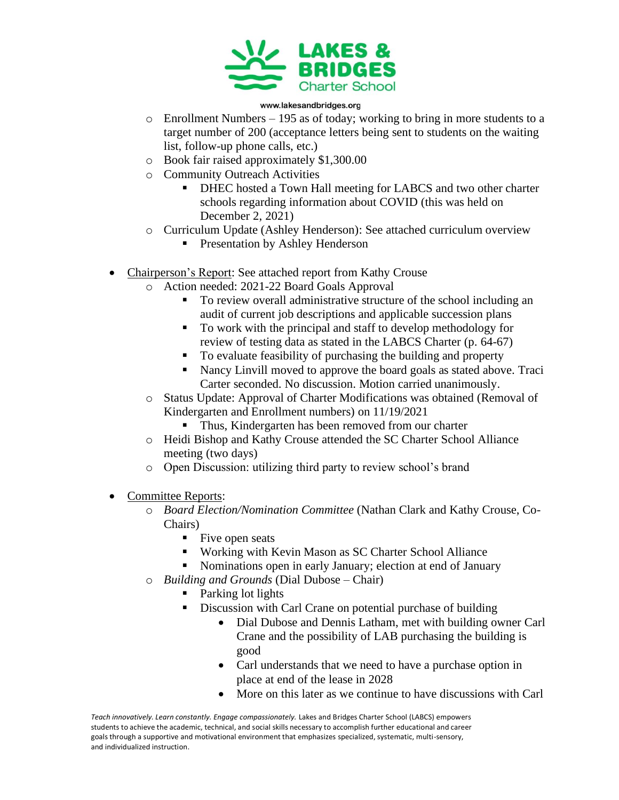

## www.lakesandbridges.org

- $\circ$  Enrollment Numbers 195 as of today; working to bring in more students to a target number of 200 (acceptance letters being sent to students on the waiting list, follow-up phone calls, etc.)
- o Book fair raised approximately \$1,300.00
- o Community Outreach Activities
	- DHEC hosted a Town Hall meeting for LABCS and two other charter schools regarding information about COVID (this was held on December 2, 2021)
- o Curriculum Update (Ashley Henderson): See attached curriculum overview
	- **•** Presentation by Ashley Henderson
- Chairperson's Report: See attached report from Kathy Crouse
	- o Action needed: 2021-22 Board Goals Approval
		- To review overall administrative structure of the school including an audit of current job descriptions and applicable succession plans
		- To work with the principal and staff to develop methodology for review of testing data as stated in the LABCS Charter (p. 64-67)
		- To evaluate feasibility of purchasing the building and property
		- Nancy Linvill moved to approve the board goals as stated above. Traci Carter seconded. No discussion. Motion carried unanimously.
	- o Status Update: Approval of Charter Modifications was obtained (Removal of Kindergarten and Enrollment numbers) on 11/19/2021
		- Thus, Kindergarten has been removed from our charter
	- o Heidi Bishop and Kathy Crouse attended the SC Charter School Alliance meeting (two days)
	- o Open Discussion: utilizing third party to review school's brand
- Committee Reports:
	- o *Board Election/Nomination Committee* (Nathan Clark and Kathy Crouse, Co-Chairs)
		- Five open seats
		- Working with Kevin Mason as SC Charter School Alliance
		- Nominations open in early January; election at end of January
	- o *Building and Grounds* (Dial Dubose Chair)
		- Parking lot lights
			- Discussion with Carl Crane on potential purchase of building
				- Dial Dubose and Dennis Latham, met with building owner Carl Crane and the possibility of LAB purchasing the building is good
				- Carl understands that we need to have a purchase option in place at end of the lease in 2028
				- More on this later as we continue to have discussions with Carl

Teach innovatively. Learn constantly. Engage compassionately. Lakes and Bridges Charter School (LABCS) empowers students to achieve the academic, technical, and social skills necessary to accomplish further educational and career goals through a supportive and motivational environment that emphasizes specialized, systematic, multi-sensory, and individualized instruction.